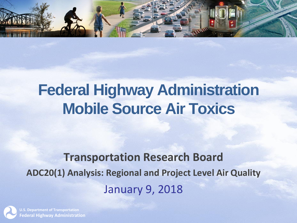

## **Federal Highway Administration Mobile Source Air Toxics**

#### **Transportation Research Board ADC20(1) Analysis: Regional and Project Level Air Quality**  January 9, 2018

**U.S. Department of Transportation Federal Highway Administration**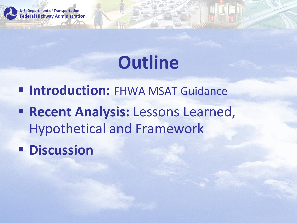

# **Outline**

*Elntroduction: FHWA MSAT Guidance* 

**Execent Analysis: Lessons Learned,** Hypothetical and Framework

▪ **Discussion**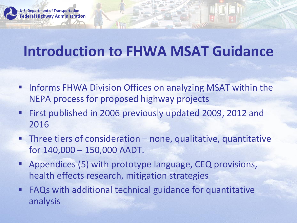

### **Introduction to FHWA MSAT Guidance**

- Informs FHWA Division Offices on analyzing MSAT within the NEPA process for proposed highway projects
- First published in 2006 previously updated 2009, 2012 and 2016
- $\blacksquare$  Three tiers of consideration none, qualitative, quantitative for 140,000 – 150,000 AADT.
- Appendices (5) with prototype language, CEQ provisions, health effects research, mitigation strategies
- **FAQs with additional technical guidance for quantitative** analysis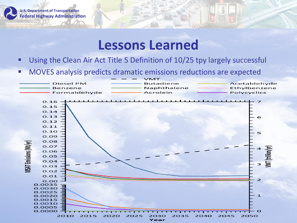

#### **Lessons Learned**

- Using the Clean Air Act Title 5 Definition of 10/25 tpy largely successful
- MOVES analysis predicts dramatic emissions reductions are expected

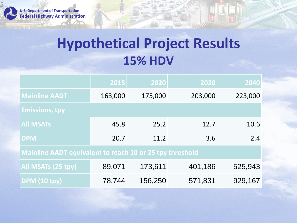

### **Hypothetical Project Results 15% HDV**

|                                                                 | 2015    | 2020    | 2030    | 2040    |
|-----------------------------------------------------------------|---------|---------|---------|---------|
| <b>Mainline AADT</b>                                            | 163,000 | 175,000 | 203,000 | 223,000 |
| <b>Emissions, tpy</b>                                           |         |         |         |         |
| <b>All MSATs</b>                                                | 45.8    | 25.2    | 12.7    | 10.6    |
| <b>DPM</b>                                                      | 20.7    | 11.2    | 3.6     | 2.4     |
| <b>Mainline AADT equivalent to reach 10 or 25 tpy threshold</b> |         |         |         |         |
| All MSATs (25 tpy)                                              | 89,071  | 173,611 | 401,186 | 525,943 |
| <b>DPM</b> (10 tpy)                                             | 78,744  | 156,250 | 571,831 | 929,167 |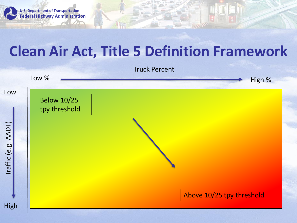

### **Clean Air Act, Title 5 Definition Framework**

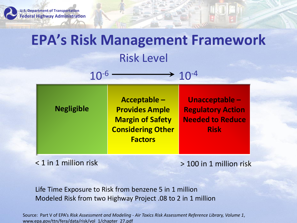

## **EPA's Risk Management Framework** Risk Level

| <b>Considering Other</b><br><b>Risk</b><br><b>Factors</b> |
|-----------------------------------------------------------|
|-----------------------------------------------------------|

 $10^{-6}$  and  $10^{-4}$ 

< 1 in 1 million risk > 100 in 1 million risk

Life Time Exposure to Risk from benzene 5 in 1 million Modeled Risk from two Highway Project .08 to 2 in 1 million

Source: Part V of EPA's *Risk Assessment and Modeling - Air Toxics Risk Assessment Reference Library, Volume 1*, www.epa.gov/ttn/fera/data/risk/vol\_1/chapter\_27.pdf